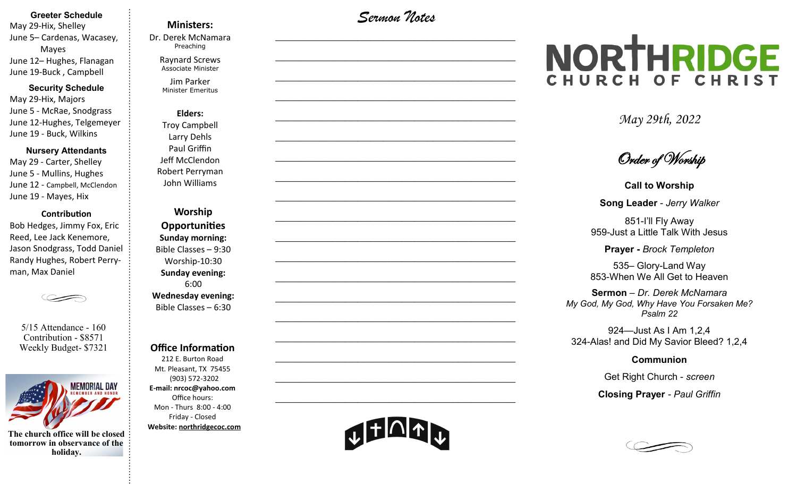#### **Greeter Schedule**

May 29-Hix, Shelley June 5– Cardenas, Wacasey, Mayes June 12– Hughes, Flanagan June 19-Buck , Campbell

#### **Security Schedule**

May 29-Hix, Majors June 5 - McRae, Snodgrass June 12-Hughes, Telgemeyer June 19 - Buck, Wilkins

#### **Nursery Attendants**

May 29 - Carter, Shelley June 5 - Mullins, Hughes June 12 - Campbell, McClendon June 19 - Mayes, Hix

#### **Contribution**

Bob Hedges, Jimmy Fox, Eric Reed, Lee Jack Kenemore, Jason Snodgrass, Todd Daniel Randy Hughes, Robert Perryman, Max Daniel

5/15 Attendance - 160 Contribution - \$8571 Weekly Budget- \$7321



**The church office will be closed tomorrow in observance of the holiday.**

#### **Ministers:**

Dr. Derek McNamara Preaching 

Raynard Screws Associate Minister

Jim Parker Minister Emeritus

**Elders:** Troy Campbell Larry Dehls Paul Griffin Jeff McClendon Robert Perryman John Williams

**Worship Opportunities Sunday morning:**  Bible Classes – 9:30 Worship-10:30 **Sunday evening:**  6:00 **Wednesday evening:** Bible Classes – 6:30

#### **Office Information**

212 E. Burton Road Mt. Pleasant, TX 75455 (903) 572-3202 **E-mail: nrcoc@yahoo.com** Office hours: Mon - Thurs 8:00 - 4:00 Friday - Closed **Website: northridgecoc.com**

*Sermon Notes*

 $\mathcal{L}_\text{max}$ 

 $\mathcal{L}_\text{max}$  , and the set of the set of the set of the set of the set of the set of the set of the set of the set of the set of the set of the set of the set of the set of the set of the set of the set of the set of the

 $\mathcal{L}_\text{max}$  , and the set of the set of the set of the set of the set of the set of the set of the set of the set of the set of the set of the set of the set of the set of the set of the set of the set of the set of the

 $\mathcal{L}_\text{max}$  , and the set of the set of the set of the set of the set of the set of the set of the set of the set of the set of the set of the set of the set of the set of the set of the set of the set of the set of the

 $\mathcal{L}_\text{max}$ 

 $\mathcal{L}_\text{max}$ 

 $\mathcal{L}_\text{max}$  , and the set of the set of the set of the set of the set of the set of the set of the set of the set of the set of the set of the set of the set of the set of the set of the set of the set of the set of the

 $\mathcal{L}_\text{max}$  , and the set of the set of the set of the set of the set of the set of the set of the set of the set of the set of the set of the set of the set of the set of the set of the set of the set of the set of the

 $\mathcal{L}_\text{max}$  , and the set of the set of the set of the set of the set of the set of the set of the set of the set of the set of the set of the set of the set of the set of the set of the set of the set of the set of the

 $\mathcal{L}_\text{max}$ 

 $\mathcal{L}_\text{max}$  , and the set of the set of the set of the set of the set of the set of the set of the set of the set of the set of the set of the set of the set of the set of the set of the set of the set of the set of the

 $\mathcal{L}_\text{max}$  , and the set of the set of the set of the set of the set of the set of the set of the set of the set of the set of the set of the set of the set of the set of the set of the set of the set of the set of the

 $\mathcal{L}_\text{max}$  , and the set of the set of the set of the set of the set of the set of the set of the set of the set of the set of the set of the set of the set of the set of the set of the set of the set of the set of the

 $\mathcal{L}_\text{max}$  , and the set of the set of the set of the set of the set of the set of the set of the set of the set of the set of the set of the set of the set of the set of the set of the set of the set of the set of the

 $\mathcal{L}_\text{max}$ 

 $\mathcal{L}_\text{max}$  , and the set of the set of the set of the set of the set of the set of the set of the set of the set of the set of the set of the set of the set of the set of the set of the set of the set of the set of the

 $\mathcal{L}_\text{max}$  , and the set of the set of the set of the set of the set of the set of the set of the set of the set of the set of the set of the set of the set of the set of the set of the set of the set of the set of the

 $\mathcal{L}_\text{max}$  , and the set of the set of the set of the set of the set of the set of the set of the set of the set of the set of the set of the set of the set of the set of the set of the set of the set of the set of the

 $\mathcal{L}_\text{max}$  , and the set of the set of the set of the set of the set of the set of the set of the set of the set of the set of the set of the set of the set of the set of the set of the set of the set of the set of the

# NORTHRIDGE CHURCH OF CHRIST

*May 29th, 2022*

Order of Worship

**Call to Worship**

**Song Leader** *- Jerry Walker*

851-I'll Fly Away 959-Just a Little Talk With Jesus

**Prayer -** *Brock Templeton*

535– Glory-Land Way 853-When We All Get to Heaven

**Sermon** – *Dr. Derek McNamara My God, My God, Why Have You Forsaken Me? Psalm 22*

924—Just As I Am 1,2,4 324-Alas! and Did My Savior Bleed? 1,2,4

**Communion** 

Get Right Church - *screen*

**Closing Prayer** *- Paul Griffin*